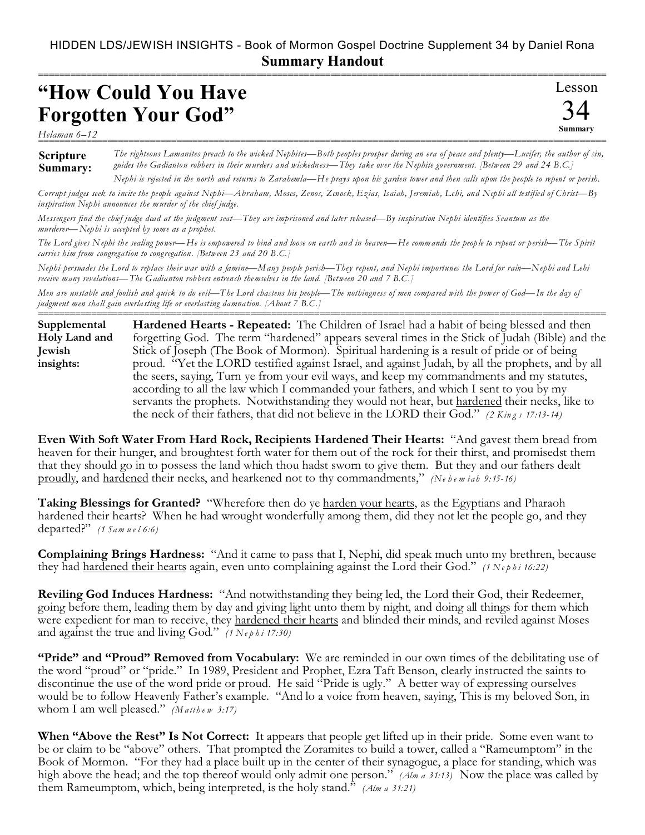## HIDDEN LDS/JEWISH INSIGHTS - Book of Mormon Gospel Doctrine Supplement 34 by Daniel Rona **Summary Handout**

## **"How Could You Have Forgotten Your God"**

Lesson  $\angle$ **Summary** ===========================================================================================================

*Helaman 6–12* ===========================================================================================================

**Scripture Summary:** *The righteous Lamanites preach to the wicked Nephites—Both peoples prosper during an era of peace and plenty—Lucifer, the author of sin, guides the Gadianton robbers in their murders and wickedness—They take over the Nephite government. [Between 29 and 24 B.C.] Nephi is rejected in the north and returns to Zarahemla—He prays upon his garden tower and then calls upon the people to repent or perish.*

*Corrupt judges seek to incite the people against Nephi—Abraham, Moses, Zenos, Zenock, Ezias, Isaiah, Jeremiah, Lehi, and Nephi all testified of Christ—By inspiration Nephi announces the murder of the chief judge.*

*Messengers find the chief judge dead at the judgment seat—They are imprisoned and later released—By inspiration Nephi identifies Seantum as the murderer—Nephi is accepted by some as a prophet.*

*The Lord gives Nephi the sealing power—He is empowered to bind and loose on earth and in heaven—He commands the people to repent or perish—The Spirit carries him from congregation to congregation. [Between 23 and 20 B.C.]*

*Nephi persuades the Lord to replace their war with a famine—Many people perish—They repent, and Nephi importunes the Lord for rain—Nephi and Lehi receive many revelations—The Gadianton robbers entrench themselves in the land. [Between 20 and 7 B.C.]*

*Men are unstable and foolish and quick to do evil—The Lord chastens his people—The nothingness of men compared with the power of God—In the day of judgment men shall gain everlasting life or everlasting damna tion. [About 7 B.C.]*

=========================================================================================================== **Hardened Hearts - Repeated:** The Children of Israel had a habit of being blessed and then forgetting God. The term "hardened" appears several times in the Stick of Judah (Bible) and the Stick of Joseph (The Book of Mormon). Spiritual hardening is a result of pride or of being proud. "Yet the LORD testified against Israel, and against Judah, by all the prophets, and by all the seers, saying, Turn ye from your evil ways, and keep my commandments and my statutes, according to all the law which I commanded your fathers, and which I sent to you by my servants the prophets. Notwithstanding they would not hear, but hardened their necks, like to the neck of their fathers, that did not believe in the LORD their God." *(2 Kin g s 17:13-14)* **Supplemental Holy Land and Jewish insights:**

**Even With Soft Water From Hard Rock, Recipients Hardened Their Hearts:** "And gavest them bread from heaven for their hunger, and broughtest forth water for them out of the rock for their thirst, and promisedst them that they should go in to possess the land which thou hadst sworn to give them. But they and our fathers dealt proudly, and hardened their necks, and hearkened not to thy commandments," *(Ne h e m iah 9:15-16)*

**Taking Blessings for Granted?** "Wherefore then do ye harden your hearts, as the Egyptians and Pharaoh hardened their hearts? When he had wrought wonderfully among them, did they not let the people go, and they departed?" *(1 Sam u e l 6:6)*

**Complaining Brings Hardness:** "And it came to pass that I, Nephi, did speak much unto my brethren, because they had hardened their hearts again, even unto complaining against the Lord their God." *(1 Nephi 16:22)* 

**Reviling God Induces Hardness:** "And notwithstanding they being led, the Lord their God, their Redeemer, going before them, leading them by day and giving light unto them by night, and doing all things for them which were expedient for man to receive, they hardened their hearts and blinded their minds, and reviled against Moses and against the true and living God." *(1 Nephi 17:30)* 

**"Pride" and "Proud" Removed from Vocabulary:** We are reminded in our own times of the debilitating use of the word "proud" or "pride." In 1989, President and Prophet, Ezra Taft Benson, clearly instructed the saints to discontinue the use of the word pride or proud. He said "Pride is ugly." A better way of expressing ourselves would be to follow Heavenly Father's example. "And lo a voice from heaven, saying, This is my beloved Son, in whom I am well pleased." *(Matthew 3:17)* 

**When "Above the Rest" Is Not Correct:** It appears that people get lifted up in their pride. Some even want to be or claim to be "above" others. That prompted the Zoramites to build a tower, called a "Rameumptom" in the Book of Mormon. "For they had a place built up in the center of their synagogue, a place for standing, which was high above the head; and the top thereof would only admit one person." *(Alm a 31:13)* Now the place was called by them Rameumptom, which, being interpreted, is the holy stand." *(Alm a 31:21)*